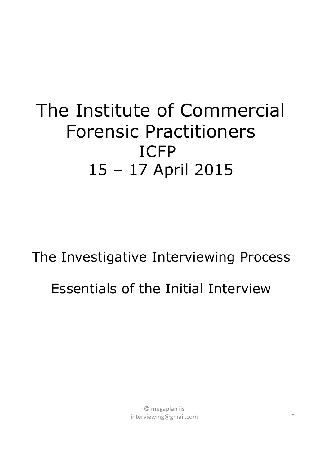#### The Institute of Commercial Forensic Practitioners ICFP 15 – 17 April 2015

# The Investigative Interviewing Process Essentials of the Initial Interview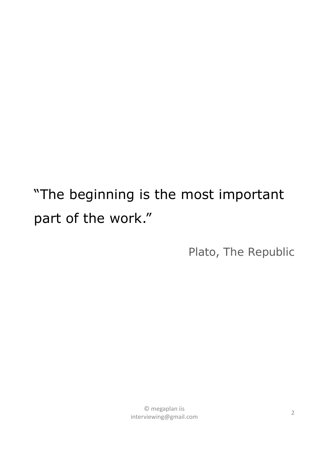"The beginning is the most important part of the work."

Plato, *The Republic*

<sup>2</sup> © megaplan iis interviewing@gmail.com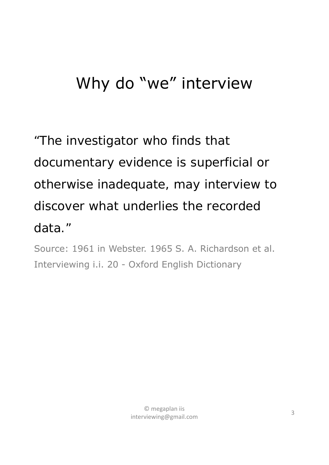#### Why do "we" interview

### *"The investigator who finds that documentary evidence is superficial or otherwise inadequate, may interview to discover what underlies the recorded data."*

Source: 1961 in Webster. 1965 S. A. Richardson et al. Interviewing i.i. 20 - Oxford English Dictionary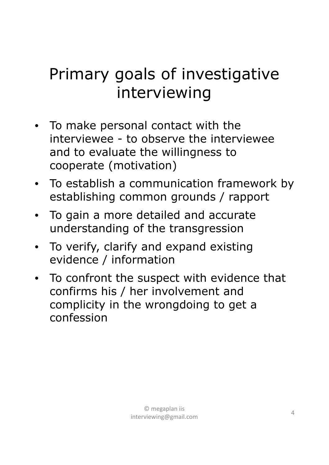#### Primary goals of investigative interviewing

- To make personal contact with the interviewee - to observe the interviewee and to evaluate the willingness to cooperate (motivation)
- To establish a communication framework by establishing common grounds / rapport
- To gain a more detailed and accurate understanding of the transgression
- To verify, clarify and expand existing evidence / information
- To confront the suspect with evidence that confirms his / her involvement and complicity in the wrongdoing to get a confession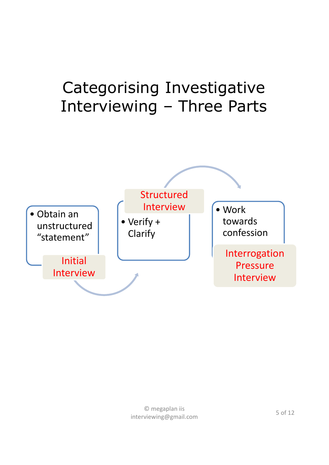#### Categorising Investigative Interviewing – Three Parts

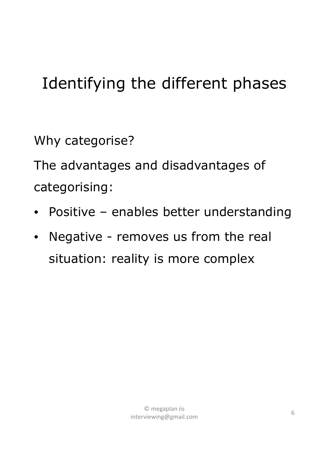### Identifying the different phases

Why categorise?

The advantages and disadvantages of categorising:

- Positive enables better understanding
- Negative removes us from the real situation: reality is more complex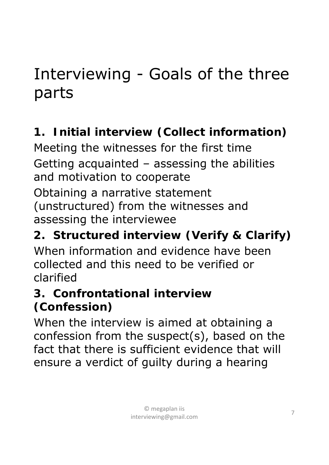#### Interviewing - Goals of the three parts

#### **1. Initial interview (Collect information)**

Meeting the witnesses for the first time Getting acquainted – assessing the abilities and motivation to cooperate

Obtaining a narrative statement (unstructured) from the witnesses and assessing the interviewee

#### **2. Structured interview (Verify & Clarify)**

When information and evidence have been collected and this need to be verified or clarified

#### **3. Confrontational interview (Confession)**

When the interview is aimed at obtaining a confession from the suspect(s), based on the fact that there is sufficient evidence that will ensure a verdict of guilty during a hearing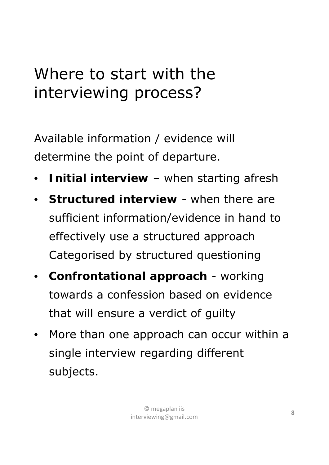#### Where to start with the interviewing process?

Available information / evidence will determine the point of departure.

- **Initial interview**  when starting afresh
- **Structured interview** when there are sufficient information/evidence in hand to effectively use a structured approach Categorised by structured questioning
- **Confrontational approach** working towards a confession based on evidence that will ensure a verdict of guilty
- More than one approach can occur within a single interview regarding different subjects.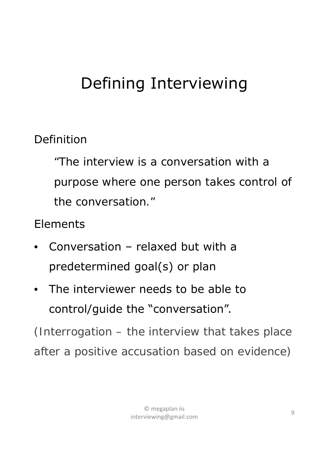#### Defining Interviewing

#### Definition

*"The interview is a conversation with a purpose where one person takes control of the conversation."*

Elements

- Conversation relaxed but with a predetermined goal(s) or plan
- The interviewer needs to be able to control/guide the "conversation".

*(Interrogation – the interview that takes place after a positive accusation based on evidence)*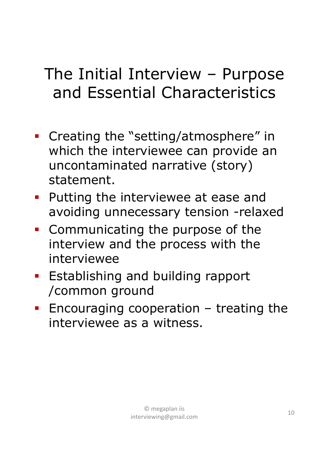#### The Initial Interview – Purpose and Essential Characteristics

- Creating the "setting/atmosphere" in which the interviewee can provide an uncontaminated narrative (story) statement.
- **Putting the interviewee at ease and** avoiding unnecessary tension -relaxed
- **Communicating the purpose of the** interview and the process with the interviewee
- **Establishing and building rapport** /common ground
- **Encouraging cooperation treating the** interviewee as a witness.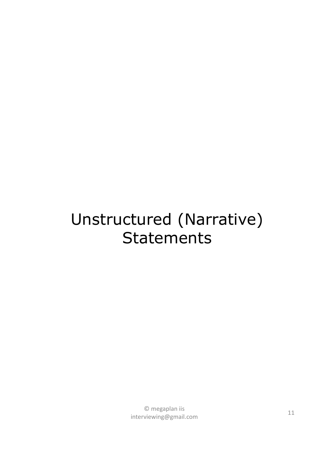#### Unstructured (Narrative) **Statements**

 $\degree$  megaplan iis and  $\degree$  11 interviewing@gmail.com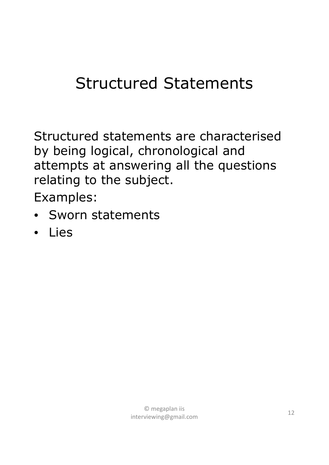#### Structured Statements

Structured statements are characterised by being logical, chronological and attempts at answering all the questions relating to the subject.

Examples:

- Sworn statements
- Lies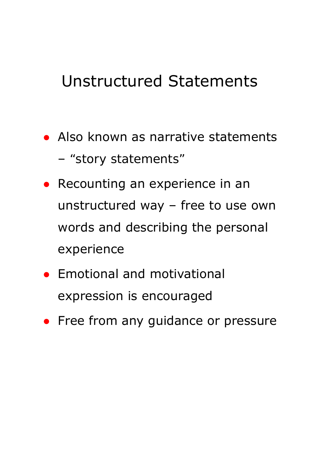#### Unstructured Statements

- Also known as narrative statements
	- *"story statements"*
- Recounting an experience in an unstructured way – free to use own words and describing the personal experience
- Emotional and motivational expression is encouraged
- Free from any guidance or pressure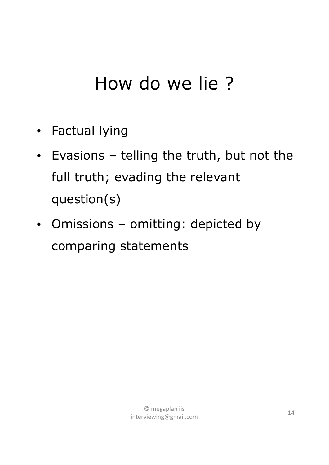### How do we lie ?

- Factual lying
- Evasions telling the truth, but not the full truth; evading the relevant question(s)
- Omissions omitting: depicted by comparing statements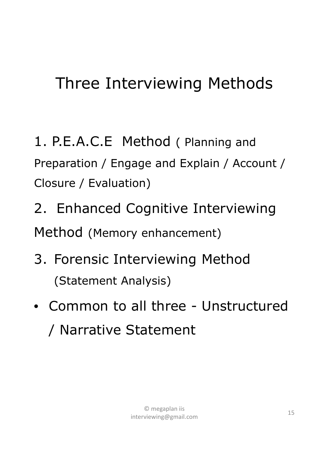#### Three Interviewing Methods

1. P.E.A.C.E Method ( Planning and Preparation / Engage and Explain / Account / Closure / Evaluation)

2. Enhanced Cognitive Interviewing Method (Memory enhancement)

- 3. Forensic Interviewing Method (Statement Analysis)
- Common to all three Unstructured / Narrative Statement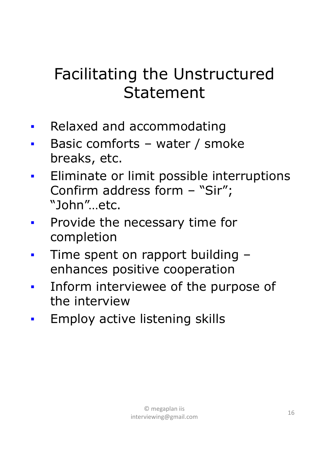#### Facilitating the Unstructured Statement

- **Relaxed and accommodating**
- Basic comforts water / smoke breaks, etc.
- **Eliminate or limit possible interruptions** Confirm address form – "Sir"; "John"…etc.
- **Provide the necessary time for** completion
- Time spent on rapport building enhances positive cooperation
- Inform interviewee of the purpose of the interview
- **Employ active listening skills**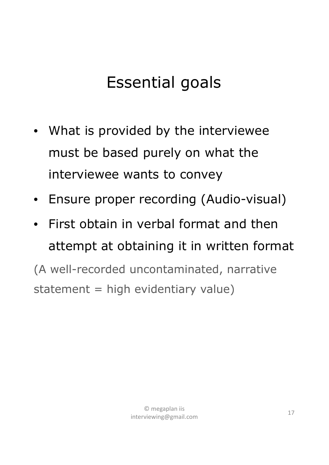#### Essential goals

- What is provided by the interviewee must be based purely on what the interviewee wants to convey
- Ensure proper recording (Audio-visual)
- First obtain in verbal format and then attempt at obtaining it in written format

(A well-recorded uncontaminated, narrative statement  $=$  high evidentiary value)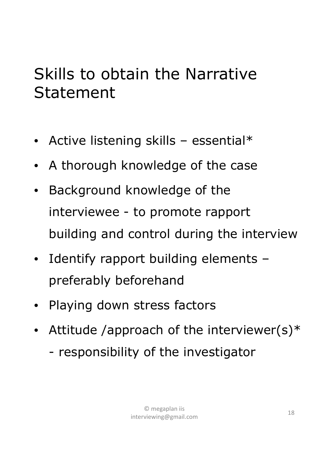#### Skills to obtain the Narrative Statement

- Active listening skills essential\*
- A thorough knowledge of the case
- Background knowledge of the interviewee - to promote rapport building and control during the interview
- Identify rapport building elements preferably beforehand
- Playing down stress factors
- Attitude /approach of the interviewer(s) $*$ - responsibility of the investigator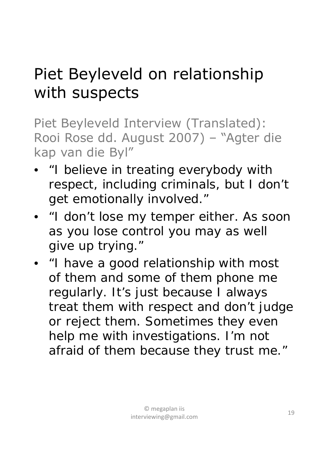#### Piet Beyleveld on relationship with suspects

Piet Beyleveld Interview (*Translated*): Rooi Rose dd. August 2007) – "Agter die kap van die Byl"

- *"I believe in treating everybody with respect, including criminals, but I don't get emotionally involved."*
- *"I don't lose my temper either. As soon as you lose control you may as well give up trying."*
- *"I have a good relationship with most of them and some of them phone me regularly. It's just because I always treat them with respect and don't judge or reject them. Sometimes they even help me with investigations. I'm not afraid of them because they trust me."*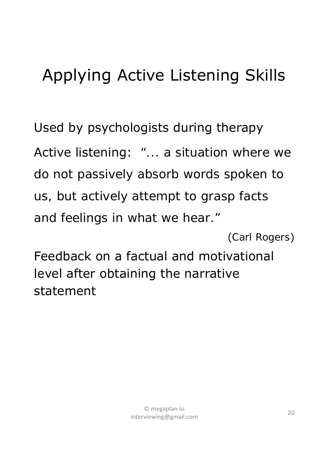### Applying Active Listening Skills

Used by psychologists during therapy Active listening: *"... a situation where we do not passively absorb words spoken to us, but actively attempt to grasp facts and feelings in what we hear."*

(*Carl Rogers*)

Feedback on a factual and motivational level after obtaining the narrative statement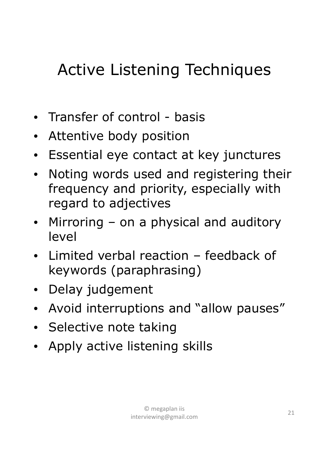### Active Listening Techniques

- Transfer of control basis
- Attentive body position
- Essential eye contact at key junctures
- Noting words used and registering their frequency and priority, especially with regard to adjectives
- Mirroring on a physical and auditory level
- Limited verbal reaction feedback of keywords (paraphrasing)
- Delay judgement
- Avoid interruptions and "allow pauses"
- Selective note taking
- Apply active listening skills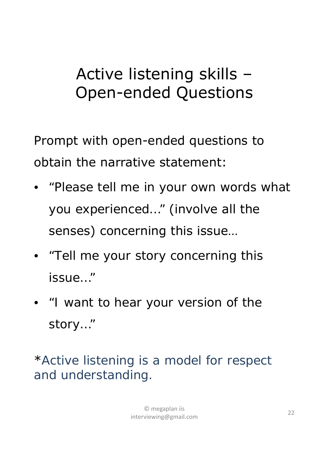#### Active listening skills – Open-ended Questions

Prompt with open-ended questions to obtain the narrative statement:

- *"Please tell me in your own words what you experienced…"* (involve all the senses) concerning this issue…
- *"Tell me your story concerning this issue…"*
- *"I want to hear your version of the story…"*

\**Active listening is a model for respect and understanding.*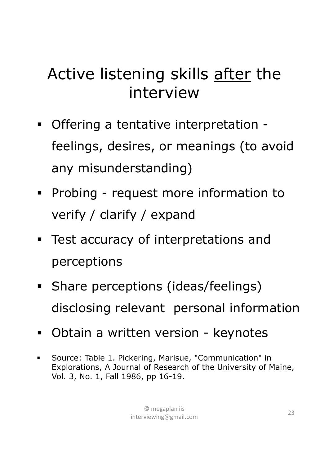#### Active listening skills after the interview

- Offering a tentative interpretation feelings, desires, or meanings (to avoid any misunderstanding)
- **Probing request more information to** verify / clarify / expand
- **Test accuracy of interpretations and** perceptions
- **Share perceptions (ideas/feelings)** disclosing relevant personal information
- **-** Obtain a written version keynotes
- Source: Table 1. Pickering, Marisue, "Communication" in Explorations, A Journal of Research of the University of Maine, Vol. 3, No. 1, Fall 1986, pp 16-19.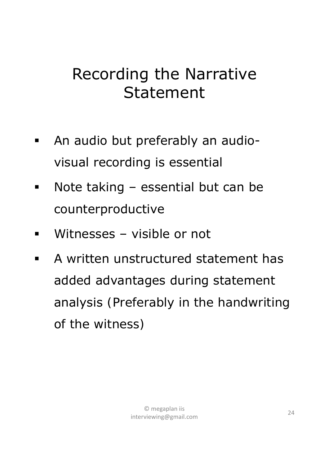#### Recording the Narrative Statement

- An audio but preferably an audiovisual recording is essential
- Note taking essential but can be counterproductive
- Witnesses visible or not
- **A written unstructured statement has** added advantages during statement analysis *(Preferably in the handwriting of the witness)*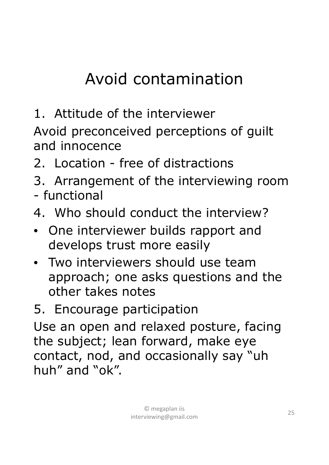### Avoid contamination

1. Attitude of the interviewer

Avoid preconceived perceptions of guilt and innocence

- 2. Location free of distractions
- 3. Arrangement of the interviewing room - functional
- 4. Who should conduct the interview?
- One interviewer builds rapport and develops trust more easily
- Two interviewers should use team approach; one asks questions and the other takes notes
- 5. Encourage participation

Use an open and relaxed posture, facing the subject; lean forward, make eye contact, nod, and occasionally say "uh huh" and "ok".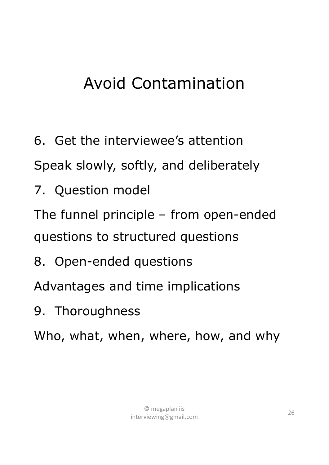### Avoid Contamination

6. Get the interviewee's attention

Speak slowly, softly, and deliberately

7. Question model

The funnel principle – from open-ended questions to structured questions

8. Open-ended questions

Advantages and time implications

9. Thoroughness

Who, what, when, where, how, and why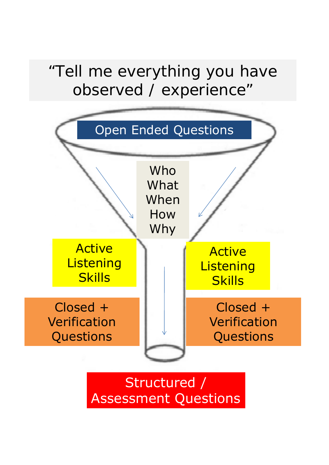#### observed / experience" *"Tell me everything you have*



Assessment Questions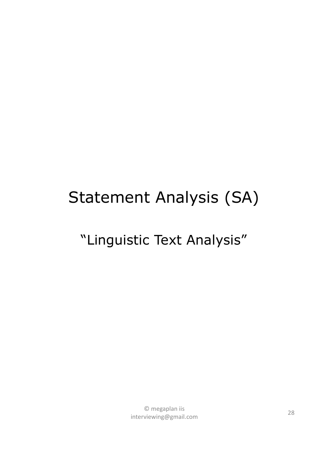#### Statement Analysis (SA)

#### "Linguistic Text Analysis"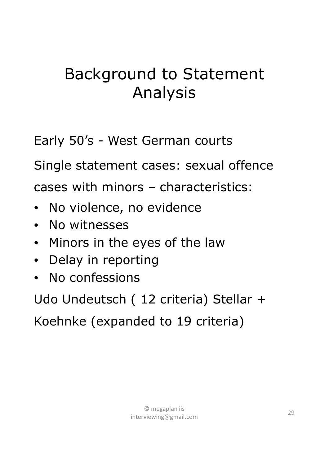#### Background to Statement Analysis

Early 50's - West German courts

Single statement cases: sexual offence

cases with minors – characteristics:

- No violence, no evidence
- No witnesses
- Minors in the eyes of the law
- Delay in reporting
- No confessions

Udo Undeutsch ( 12 criteria) Stellar +

Koehnke (expanded to 19 criteria)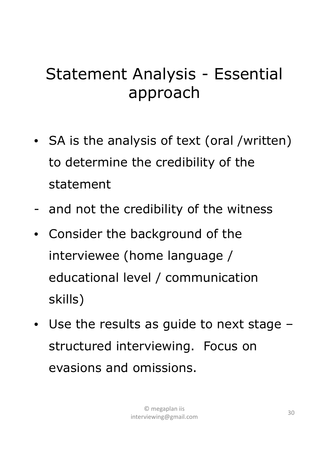#### Statement Analysis - Essential approach

- SA is the analysis of text (oral /written) to determine the credibility of the statement
- and not the credibility of the witness
- Consider the background of the interviewee (home language / educational level / communication skills)
- Use the results as guide to next stage structured interviewing. Focus on evasions and omissions.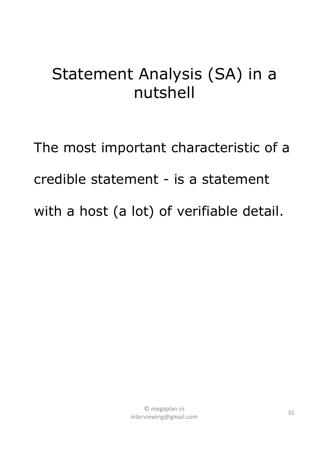#### Statement Analysis (SA) in a nutshell

The most important characteristic of a credible statement - is a statement with a host (a lot) of verifiable detail.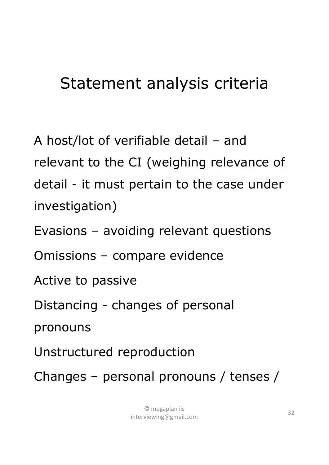#### Statement analysis criteria

A host/lot of verifiable detail – and relevant to the CI (weighing relevance of detail - it must pertain to the case under investigation)

Evasions – avoiding relevant questions

Omissions – compare evidence

Active to passive

Distancing - changes of personal

pronouns

Unstructured reproduction

Changes – personal pronouns / tenses /

© megaplan iis interviewing@gmail.com <sup>32</sup>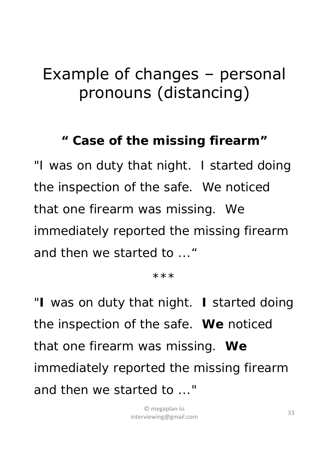#### Example of changes – personal pronouns (distancing)

#### *" Case of the missing firearm"*

*"I was on duty that night. I started doing the inspection of the safe. We noticed that one firearm was missing. We immediately reported the missing firearm and then we started to ..."*

*\*\*\**

*"I was on duty that night. I started doing the inspection of the safe. We noticed that one firearm was missing. We immediately reported the missing firearm and then we started to ..."*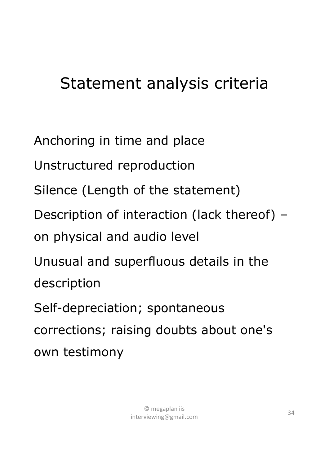#### Statement analysis criteria

Anchoring in time and place

Unstructured reproduction

Silence (Length of the statement)

Description of interaction (lack thereof) –

on physical and audio level

Unusual and superfluous details in the description

Self-depreciation; spontaneous corrections; raising doubts about one's own testimony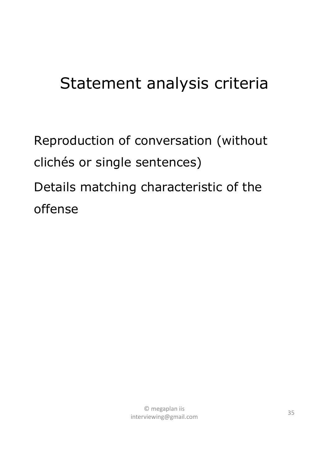#### Statement analysis criteria

Reproduction of conversation (without clichés or single sentences) Details matching characteristic of the offense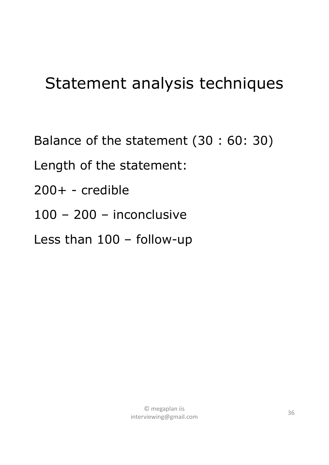#### Statement analysis techniques

Balance of the statement (30 : 60: 30)

Length of the statement:

- 200+ credible
- 100 200 inconclusive

Less than 100 – follow-up